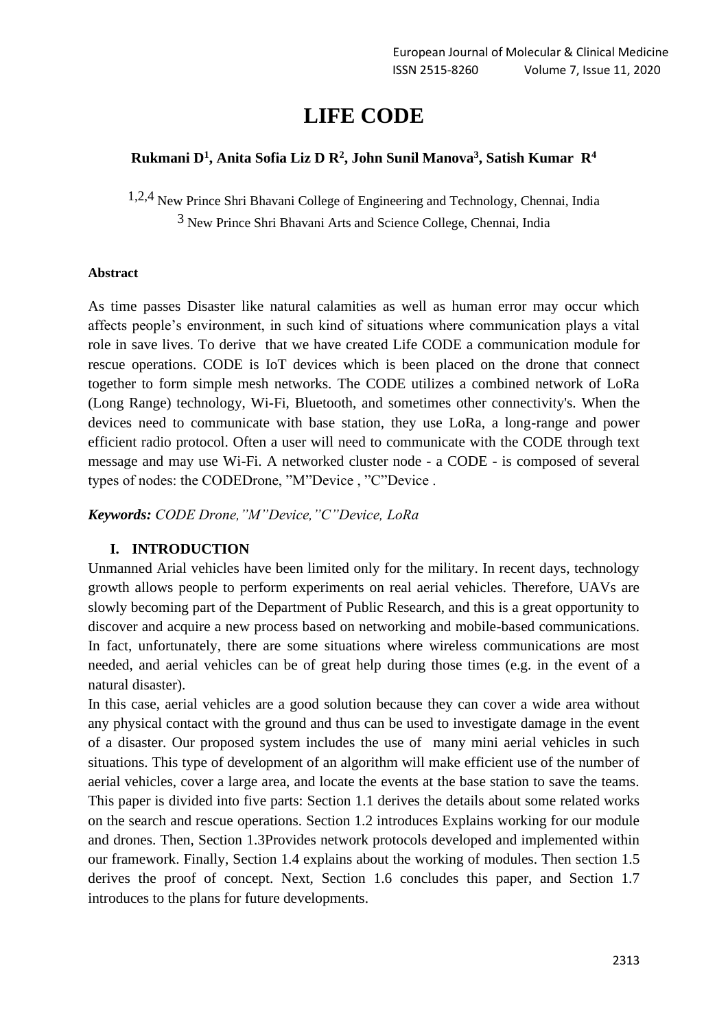# **LIFE CODE**

# **Rukmani D<sup>1</sup> , Anita Sofia Liz D R<sup>2</sup> , John Sunil Manova<sup>3</sup> , Satish Kumar R<sup>4</sup>**

1,2,4 New Prince Shri Bhavani College of Engineering and Technology, Chennai, India

3 New Prince Shri Bhavani Arts and Science College, Chennai, India

## **Abstract**

As time passes Disaster like natural calamities as well as human error may occur which affects people's environment, in such kind of situations where communication plays a vital role in save lives. To derive that we have created Life CODE a communication module for rescue operations. CODE is IoT devices which is been placed on the drone that connect together to form simple mesh networks. The CODE utilizes a combined network of LoRa (Long Range) technology, Wi-Fi, Bluetooth, and sometimes other connectivity's. When the devices need to communicate with base station, they use LoRa, a long-range and power efficient radio protocol. Often a user will need to communicate with the CODE through text message and may use Wi-Fi. A networked cluster node - a CODE - is composed of several types of nodes: the CODEDrone, "M"Device , "C"Device .

*Keywords: CODE Drone,"M"Device,"C"Device, LoRa*

# **I. INTRODUCTION**

Unmanned Arial vehicles have been limited only for the military. In recent days, technology growth allows people to perform experiments on real aerial vehicles. Therefore, UAVs are slowly becoming part of the Department of Public Research, and this is a great opportunity to discover and acquire a new process based on networking and mobile-based communications. In fact, unfortunately, there are some situations where wireless communications are most needed, and aerial vehicles can be of great help during those times (e.g. in the event of a natural disaster).

In this case, aerial vehicles are a good solution because they can cover a wide area without any physical contact with the ground and thus can be used to investigate damage in the event of a disaster. Our proposed system includes the use of many mini aerial vehicles in such situations. This type of development of an algorithm will make efficient use of the number of aerial vehicles, cover a large area, and locate the events at the base station to save the teams. This paper is divided into five parts: Section 1.1 derives the details about some related works on the search and rescue operations. Section 1.2 introduces Explains working for our module and drones. Then, Section 1.3Provides network protocols developed and implemented within our framework. Finally, Section 1.4 explains about the working of modules. Then section 1.5 derives the proof of concept. Next, Section 1.6 concludes this paper, and Section 1.7 introduces to the plans for future developments.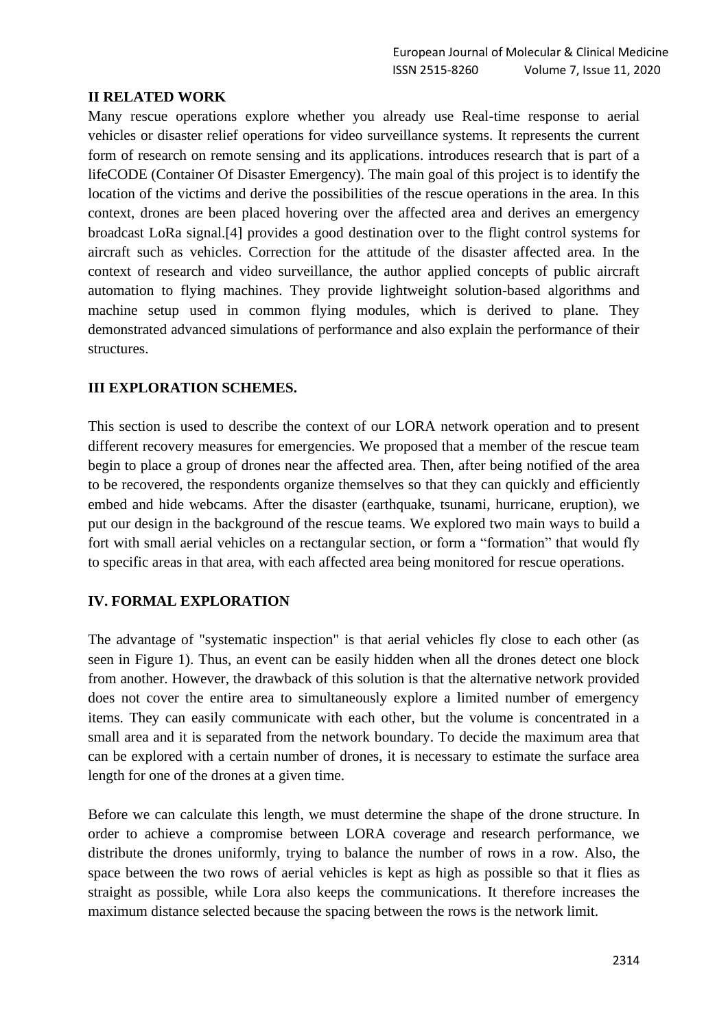# **II RELATED WORK**

Many rescue operations explore whether you already use Real-time response to aerial vehicles or disaster relief operations for video surveillance systems. It represents the current form of research on remote sensing and its applications. introduces research that is part of a lifeCODE (Container Of Disaster Emergency). The main goal of this project is to identify the location of the victims and derive the possibilities of the rescue operations in the area. In this context, drones are been placed hovering over the affected area and derives an emergency broadcast LoRa signal.[4] provides a good destination over to the flight control systems for aircraft such as vehicles. Correction for the attitude of the disaster affected area. In the context of research and video surveillance, the author applied concepts of public aircraft automation to flying machines. They provide lightweight solution-based algorithms and machine setup used in common flying modules, which is derived to plane. They demonstrated advanced simulations of performance and also explain the performance of their structures.

## **III EXPLORATION SCHEMES.**

This section is used to describe the context of our LORA network operation and to present different recovery measures for emergencies. We proposed that a member of the rescue team begin to place a group of drones near the affected area. Then, after being notified of the area to be recovered, the respondents organize themselves so that they can quickly and efficiently embed and hide webcams. After the disaster (earthquake, tsunami, hurricane, eruption), we put our design in the background of the rescue teams. We explored two main ways to build a fort with small aerial vehicles on a rectangular section, or form a "formation" that would fly to specific areas in that area, with each affected area being monitored for rescue operations.

# **IV. FORMAL EXPLORATION**

The advantage of "systematic inspection" is that aerial vehicles fly close to each other (as seen in Figure 1). Thus, an event can be easily hidden when all the drones detect one block from another. However, the drawback of this solution is that the alternative network provided does not cover the entire area to simultaneously explore a limited number of emergency items. They can easily communicate with each other, but the volume is concentrated in a small area and it is separated from the network boundary. To decide the maximum area that can be explored with a certain number of drones, it is necessary to estimate the surface area length for one of the drones at a given time.

Before we can calculate this length, we must determine the shape of the drone structure. In order to achieve a compromise between LORA coverage and research performance, we distribute the drones uniformly, trying to balance the number of rows in a row. Also, the space between the two rows of aerial vehicles is kept as high as possible so that it flies as straight as possible, while Lora also keeps the communications. It therefore increases the maximum distance selected because the spacing between the rows is the network limit.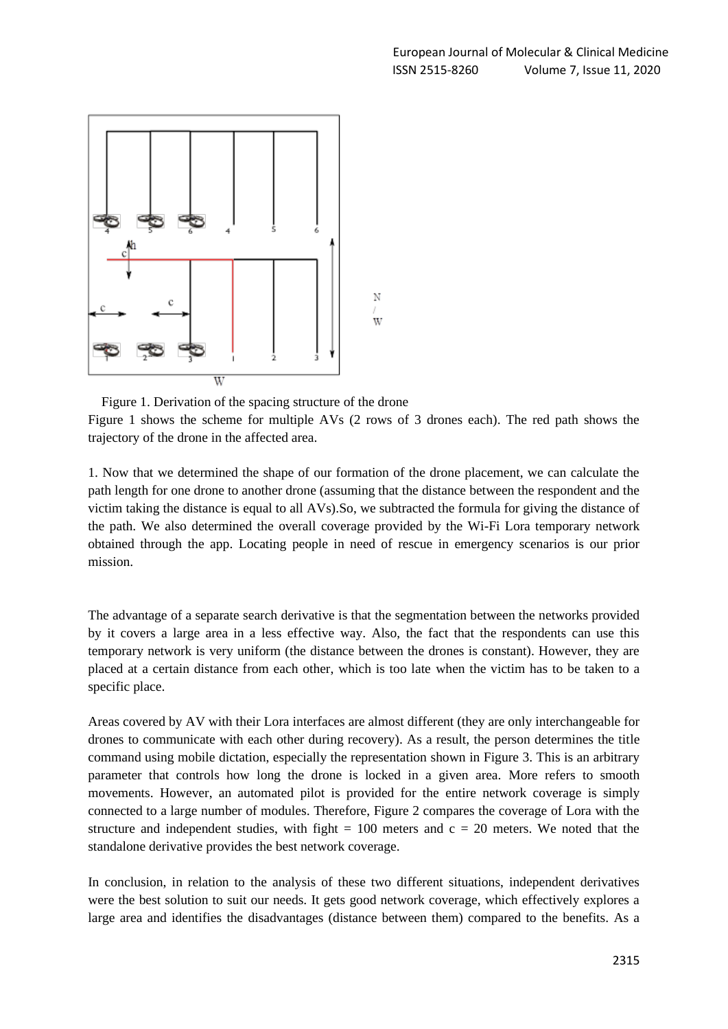

Figure 1. Derivation of the spacing structure of the drone

Figure 1 shows the scheme for multiple AVs (2 rows of 3 drones each). The red path shows the trajectory of the drone in the affected area.

1. Now that we determined the shape of our formation of the drone placement, we can calculate the path length for one drone to another drone (assuming that the distance between the respondent and the victim taking the distance is equal to all AVs).So, we subtracted the formula for giving the distance of the path. We also determined the overall coverage provided by the Wi-Fi Lora temporary network obtained through the app. Locating people in need of rescue in emergency scenarios is our prior mission.

The advantage of a separate search derivative is that the segmentation between the networks provided by it covers a large area in a less effective way. Also, the fact that the respondents can use this temporary network is very uniform (the distance between the drones is constant). However, they are placed at a certain distance from each other, which is too late when the victim has to be taken to a specific place.

Areas covered by AV with their Lora interfaces are almost different (they are only interchangeable for drones to communicate with each other during recovery). As a result, the person determines the title command using mobile dictation, especially the representation shown in Figure 3. This is an arbitrary parameter that controls how long the drone is locked in a given area. More refers to smooth movements. However, an automated pilot is provided for the entire network coverage is simply connected to a large number of modules. Therefore, Figure 2 compares the coverage of Lora with the structure and independent studies, with fight  $= 100$  meters and  $c = 20$  meters. We noted that the standalone derivative provides the best network coverage.

In conclusion, in relation to the analysis of these two different situations, independent derivatives were the best solution to suit our needs. It gets good network coverage, which effectively explores a large area and identifies the disadvantages (distance between them) compared to the benefits. As a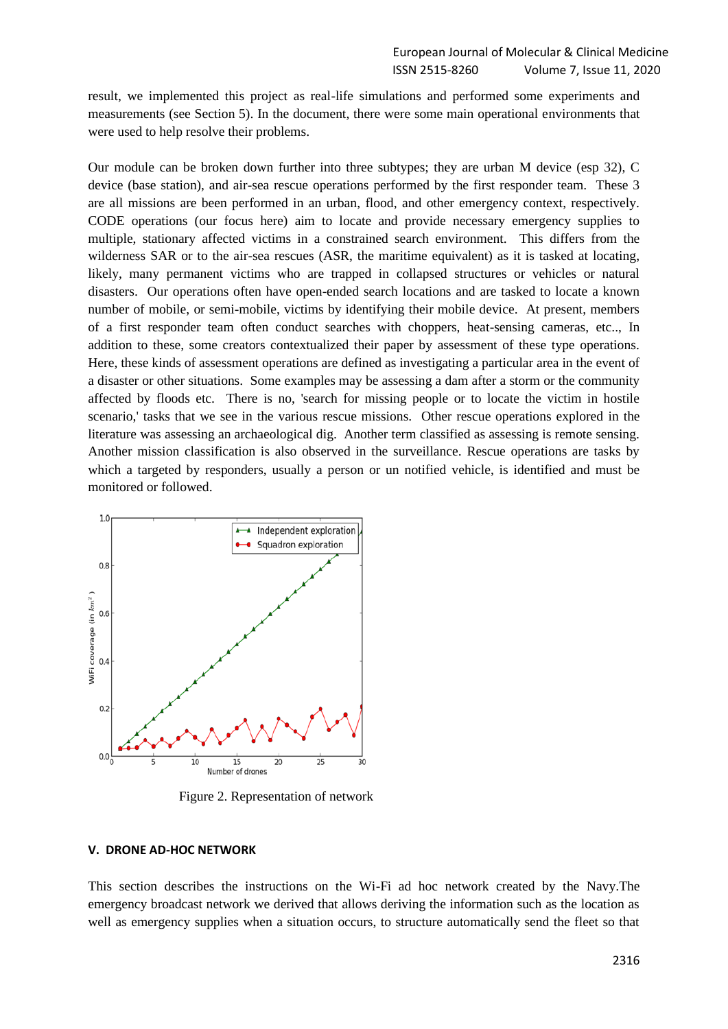result, we implemented this project as real-life simulations and performed some experiments and measurements (see Section 5). In the document, there were some main operational environments that were used to help resolve their problems.

Our module can be broken down further into three subtypes; they are urban M device (esp 32), C device (base station), and air-sea rescue operations performed by the first responder team. These 3 are all missions are been performed in an urban, flood, and other emergency context, respectively. CODE operations (our focus here) aim to locate and provide necessary emergency supplies to multiple, stationary affected victims in a constrained search environment. This differs from the wilderness SAR or to the air-sea rescues (ASR, the maritime equivalent) as it is tasked at locating, likely, many permanent victims who are trapped in collapsed structures or vehicles or natural disasters. Our operations often have open-ended search locations and are tasked to locate a known number of mobile, or semi-mobile, victims by identifying their mobile device. At present, members of a first responder team often conduct searches with choppers, heat-sensing cameras, etc.., In addition to these, some creators contextualized their paper by assessment of these type operations. Here, these kinds of assessment operations are defined as investigating a particular area in the event of a disaster or other situations. Some examples may be assessing a dam after a storm or the community affected by floods etc. There is no, 'search for missing people or to locate the victim in hostile scenario,' tasks that we see in the various rescue missions. Other rescue operations explored in the literature was assessing an archaeological dig. Another term classified as assessing is remote sensing. Another mission classification is also observed in the surveillance. Rescue operations are tasks by which a targeted by responders, usually a person or un notified vehicle, is identified and must be monitored or followed.



Figure 2. Representation of network

#### **V. DRONE AD-HOC NETWORK**

This section describes the instructions on the Wi-Fi ad hoc network created by the Navy.The emergency broadcast network we derived that allows deriving the information such as the location as well as emergency supplies when a situation occurs, to structure automatically send the fleet so that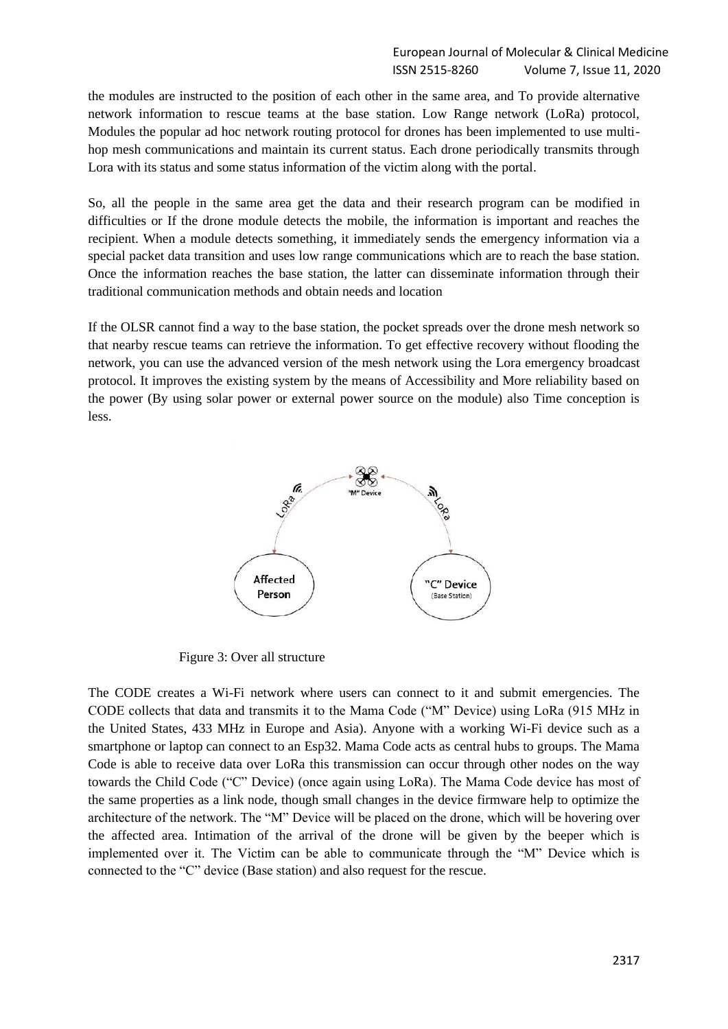the modules are instructed to the position of each other in the same area, and To provide alternative network information to rescue teams at the base station. Low Range network (LoRa) protocol, Modules the popular ad hoc network routing protocol for drones has been implemented to use multihop mesh communications and maintain its current status. Each drone periodically transmits through Lora with its status and some status information of the victim along with the portal.

So, all the people in the same area get the data and their research program can be modified in difficulties or If the drone module detects the mobile, the information is important and reaches the recipient. When a module detects something, it immediately sends the emergency information via a special packet data transition and uses low range communications which are to reach the base station. Once the information reaches the base station, the latter can disseminate information through their traditional communication methods and obtain needs and location

If the OLSR cannot find a way to the base station, the pocket spreads over the drone mesh network so that nearby rescue teams can retrieve the information. To get effective recovery without flooding the network, you can use the advanced version of the mesh network using the Lora emergency broadcast protocol. It improves the existing system by the means of Accessibility and More reliability based on the power (By using solar power or external power source on the module) also Time conception is less.



Figure 3: Over all structure

The CODE creates a Wi-Fi network where users can connect to it and submit emergencies. The CODE collects that data and transmits it to the Mama Code ("M" Device) using LoRa (915 MHz in the United States, 433 MHz in Europe and Asia). Anyone with a working Wi-Fi device such as a smartphone or laptop can connect to an Esp32. Mama Code acts as central hubs to groups. The Mama Code is able to receive data over LoRa this transmission can occur through other nodes on the way towards the Child Code ("C" Device) (once again using LoRa). The Mama Code device has most of the same properties as a link node, though small changes in the device firmware help to optimize the architecture of the network. The "M" Device will be placed on the drone, which will be hovering over the affected area. Intimation of the arrival of the drone will be given by the beeper which is implemented over it. The Victim can be able to communicate through the "M" Device which is connected to the "C" device (Base station) and also request for the rescue.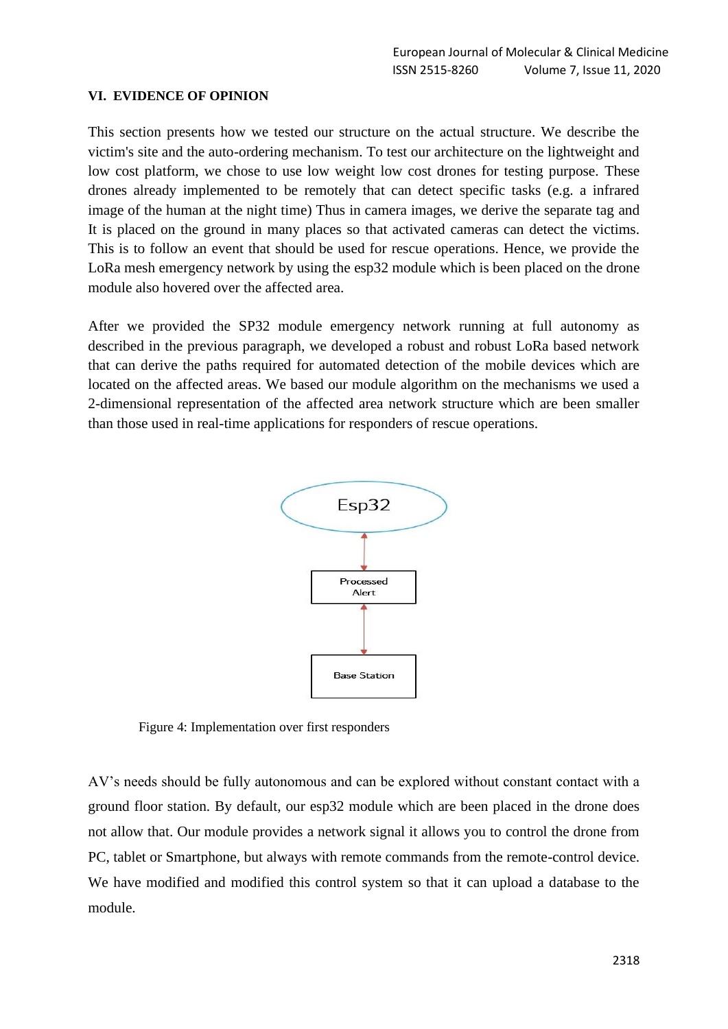#### **VI. EVIDENCE OF OPINION**

This section presents how we tested our structure on the actual structure. We describe the victim's site and the auto-ordering mechanism. To test our architecture on the lightweight and low cost platform, we chose to use low weight low cost drones for testing purpose. These drones already implemented to be remotely that can detect specific tasks (e.g. a infrared image of the human at the night time) Thus in camera images, we derive the separate tag and It is placed on the ground in many places so that activated cameras can detect the victims. This is to follow an event that should be used for rescue operations. Hence, we provide the LoRa mesh emergency network by using the esp32 module which is been placed on the drone module also hovered over the affected area.

After we provided the SP32 module emergency network running at full autonomy as described in the previous paragraph, we developed a robust and robust LoRa based network that can derive the paths required for automated detection of the mobile devices which are located on the affected areas. We based our module algorithm on the mechanisms we used a 2-dimensional representation of the affected area network structure which are been smaller than those used in real-time applications for responders of rescue operations.



Figure 4: Implementation over first responders

AV's needs should be fully autonomous and can be explored without constant contact with a ground floor station. By default, our esp32 module which are been placed in the drone does not allow that. Our module provides a network signal it allows you to control the drone from PC, tablet or Smartphone, but always with remote commands from the remote-control device. We have modified and modified this control system so that it can upload a database to the module.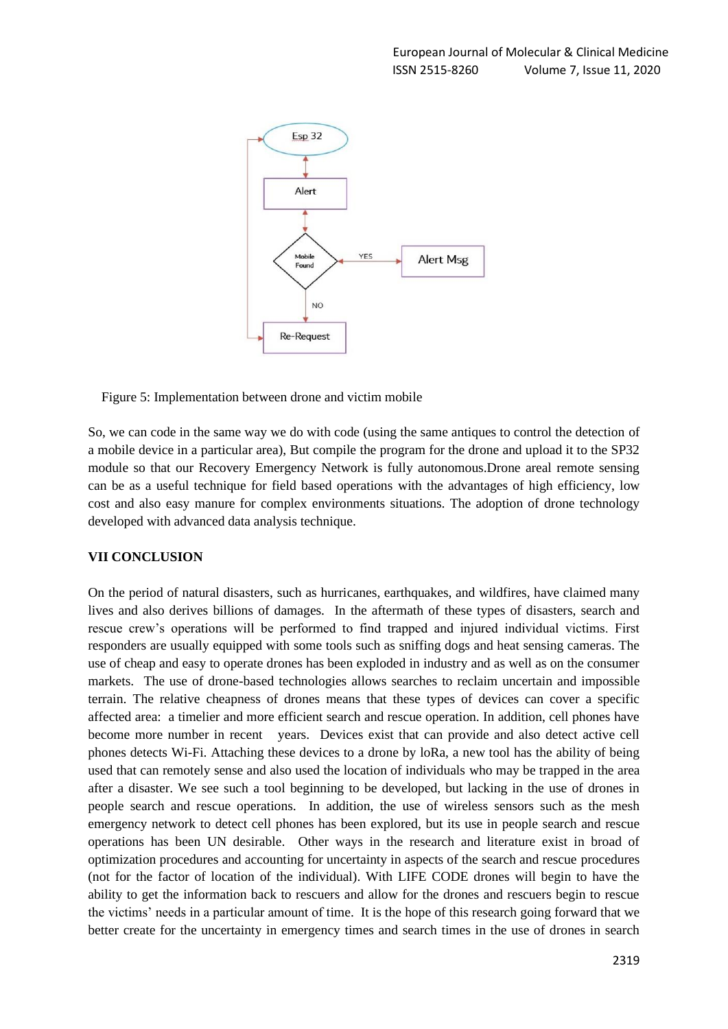

Figure 5: Implementation between drone and victim mobile

So, we can code in the same way we do with code (using the same antiques to control the detection of a mobile device in a particular area), But compile the program for the drone and upload it to the SP32 module so that our Recovery Emergency Network is fully autonomous.Drone areal remote sensing can be as a useful technique for field based operations with the advantages of high efficiency, low cost and also easy manure for complex environments situations. The adoption of drone technology developed with advanced data analysis technique.

## **VII CONCLUSION**

On the period of natural disasters, such as hurricanes, earthquakes, and wildfires, have claimed many lives and also derives billions of damages. In the aftermath of these types of disasters, search and rescue crew's operations will be performed to find trapped and injured individual victims. First responders are usually equipped with some tools such as sniffing dogs and heat sensing cameras. The use of cheap and easy to operate drones has been exploded in industry and as well as on the consumer markets. The use of drone-based technologies allows searches to reclaim uncertain and impossible terrain. The relative cheapness of drones means that these types of devices can cover a specific affected area: a timelier and more efficient search and rescue operation. In addition, cell phones have become more number in recent years. Devices exist that can provide and also detect active cell phones detects Wi-Fi. Attaching these devices to a drone by loRa, a new tool has the ability of being used that can remotely sense and also used the location of individuals who may be trapped in the area after a disaster. We see such a tool beginning to be developed, but lacking in the use of drones in people search and rescue operations. In addition, the use of wireless sensors such as the mesh emergency network to detect cell phones has been explored, but its use in people search and rescue operations has been UN desirable. Other ways in the research and literature exist in broad of optimization procedures and accounting for uncertainty in aspects of the search and rescue procedures (not for the factor of location of the individual). With LIFE CODE drones will begin to have the ability to get the information back to rescuers and allow for the drones and rescuers begin to rescue the victims' needs in a particular amount of time. It is the hope of this research going forward that we better create for the uncertainty in emergency times and search times in the use of drones in search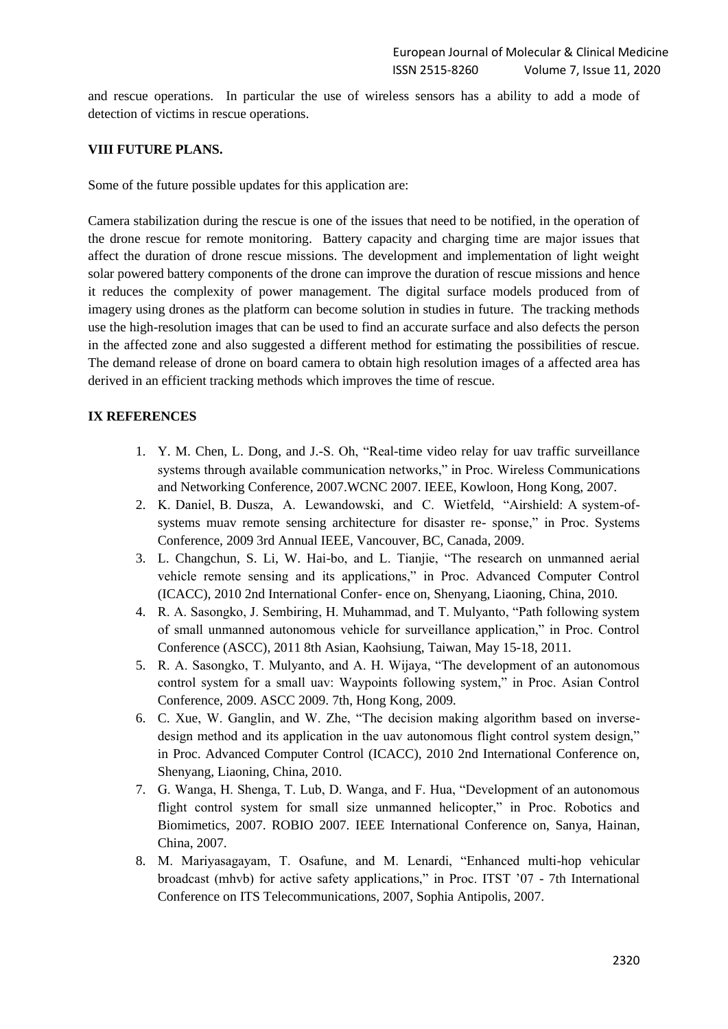and rescue operations. In particular the use of wireless sensors has a ability to add a mode of detection of victims in rescue operations.

#### **VIII FUTURE PLANS.**

Some of the future possible updates for this application are:

Camera stabilization during the rescue is one of the issues that need to be notified, in the operation of the drone rescue for remote monitoring. Battery capacity and charging time are major issues that affect the duration of drone rescue missions. The development and implementation of light weight solar powered battery components of the drone can improve the duration of rescue missions and hence it reduces the complexity of power management. The digital surface models produced from of imagery using drones as the platform can become solution in studies in future. The tracking methods use the high-resolution images that can be used to find an accurate surface and also defects the person in the affected zone and also suggested a different method for estimating the possibilities of rescue. The demand release of drone on board camera to obtain high resolution images of a affected area has derived in an efficient tracking methods which improves the time of rescue.

#### **IX REFERENCES**

- 1. Y. M. Chen, L. Dong, and J.-S. Oh, "Real-time video relay for uav traffic surveillance systems through available communication networks," in Proc. Wireless Communications and Networking Conference, 2007.WCNC 2007. IEEE, Kowloon, Hong Kong, 2007.
- 2. K. Daniel, B. Dusza, A. Lewandowski, and C. Wietfeld, "Airshield: A system-ofsystems muav remote sensing architecture for disaster re- sponse," in Proc. Systems Conference, 2009 3rd Annual IEEE, Vancouver, BC, Canada, 2009.
- 3. L. Changchun, S. Li, W. Hai-bo, and L. Tianjie, "The research on unmanned aerial vehicle remote sensing and its applications," in Proc. Advanced Computer Control (ICACC), 2010 2nd International Confer- ence on, Shenyang, Liaoning, China, 2010.
- 4. R. A. Sasongko, J. Sembiring, H. Muhammad, and T. Mulyanto, "Path following system of small unmanned autonomous vehicle for surveillance application," in Proc. Control Conference (ASCC), 2011 8th Asian, Kaohsiung, Taiwan, May 15-18, 2011.
- 5. R. A. Sasongko, T. Mulyanto, and A. H. Wijaya, "The development of an autonomous control system for a small uav: Waypoints following system," in Proc. Asian Control Conference, 2009. ASCC 2009. 7th, Hong Kong, 2009.
- 6. C. Xue, W. Ganglin, and W. Zhe, "The decision making algorithm based on inversedesign method and its application in the uav autonomous flight control system design," in Proc. Advanced Computer Control (ICACC), 2010 2nd International Conference on, Shenyang, Liaoning, China, 2010.
- 7. G. Wanga, H. Shenga, T. Lub, D. Wanga, and F. Hua, "Development of an autonomous flight control system for small size unmanned helicopter," in Proc. Robotics and Biomimetics, 2007. ROBIO 2007. IEEE International Conference on, Sanya, Hainan, China, 2007.
- 8. M. Mariyasagayam, T. Osafune, and M. Lenardi, "Enhanced multi-hop vehicular broadcast (mhvb) for active safety applications," in Proc. ITST '07 - 7th International Conference on ITS Telecommunications, 2007, Sophia Antipolis, 2007.